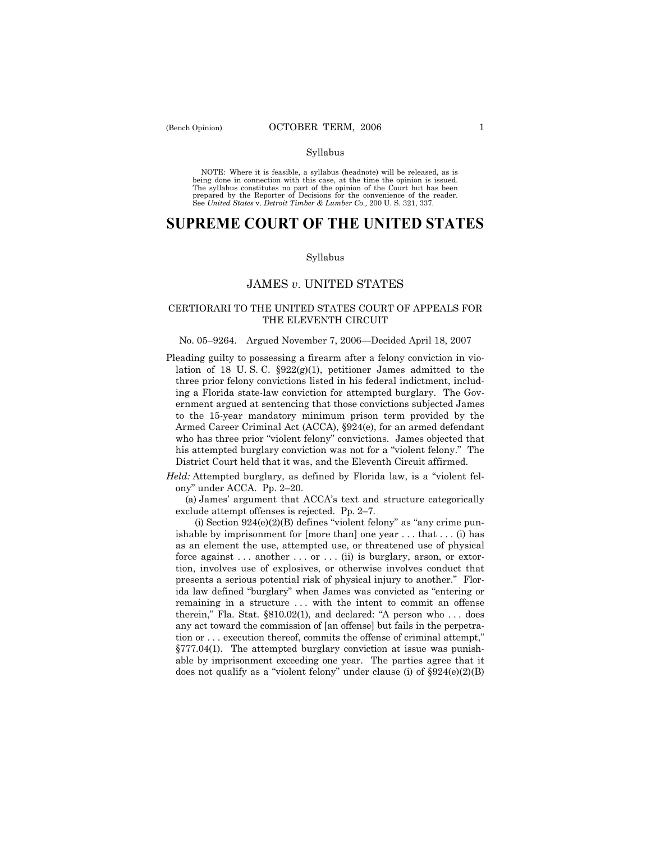NOTE: Where it is feasible, a syllabus (headnote) will be released, as is being done in connection with this case, at the time the opinion is issued. The syllabus constitutes no part of the opinion of the Court but has been<br>prepared by the Reporter of Decisions for the convenience of the reader.<br>See United States v. Detroit Timber & Lumber Co., 200 U. S. 321, 337.

# **SUPREME COURT OF THE UNITED STATES**

### Syllabus

# JAMES *v*. UNITED STATES

# CERTIORARI TO THE UNITED STATES COURT OF APPEALS FOR THE ELEVENTH CIRCUIT

## No. 05–9264. Argued November 7, 2006–Decided April 18, 2007

Pleading guilty to possessing a firearm after a felony conviction in violation of 18 U.S.C.  $\S 922(g)(1)$ , petitioner James admitted to the three prior felony convictions listed in his federal indictment, including a Florida state-law conviction for attempted burglary. The Government argued at sentencing that those convictions subjected James to the 15-year mandatory minimum prison term provided by the Armed Career Criminal Act (ACCA), ß924(e), for an armed defendant who has three prior "violent felony" convictions. James objected that his attempted burglary conviction was not for a "violent felony." The District Court held that it was, and the Eleventh Circuit affirmed.

*Held:* Attempted burglary, as defined by Florida law, is a "violent felony" under ACCA. Pp. 2–20.

 (a) Jamesí argument that ACCAís text and structure categorically exclude attempt offenses is rejected. Pp.  $2-7$ .

(i) Section  $924(e)(2)(B)$  defines "violent felony" as "any crime punishable by imprisonment for  $[more than]$  one year ... that ... (i) has as an element the use, attempted use, or threatened use of physical force against . . . another . . . or . . . (ii) is burglary, arson, or extortion, involves use of explosives, or otherwise involves conduct that presents a serious potential risk of physical injury to another." Florida law defined "burglary" when James was convicted as "entering or remaining in a structure ... with the intent to commit an offense therein," Fla. Stat.  $\S 810.02(1)$ , and declared: "A person who ... does any act toward the commission of [an offense] but fails in the perpetration or . . . execution thereof, commits the offense of criminal attempt," §777.04(1). The attempted burglary conviction at issue was punishable by imprisonment exceeding one year. The parties agree that it does not qualify as a "violent felony" under clause (i) of  $$924(e)(2)(B)$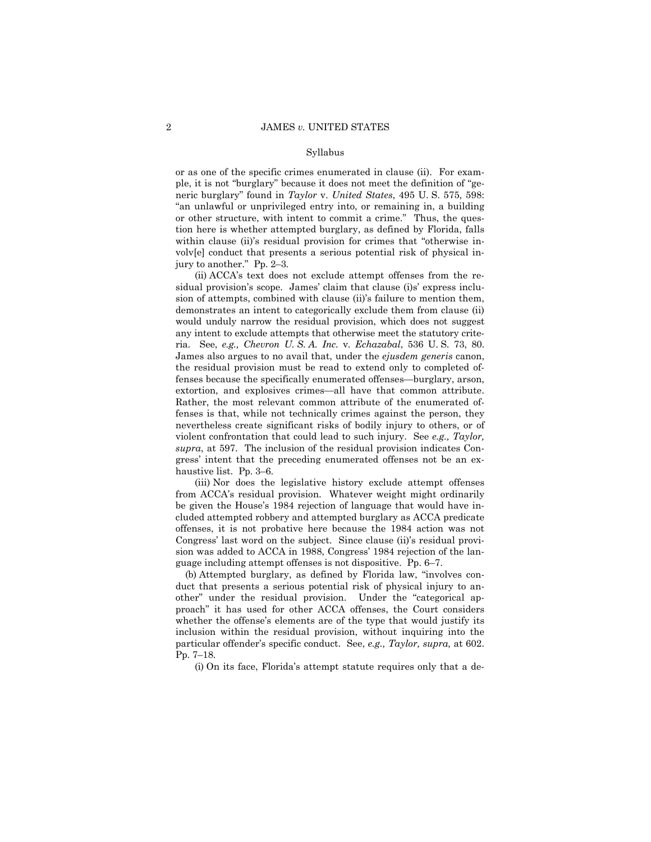or as one of the specific crimes enumerated in clause (ii). For example, it is not "burglary" because it does not meet the definition of "generic burglaryî found in *Taylor* v. *United States*, 495 U. S. 575, 598: ìan unlawful or unprivileged entry into, or remaining in, a building or other structure, with intent to commit a crime." Thus, the question here is whether attempted burglary, as defined by Florida, falls within clause (ii)'s residual provision for crimes that "otherwise involv[e] conduct that presents a serious potential risk of physical injury to another." Pp.  $2-3$ .

 (ii) ACCAís text does not exclude attempt offenses from the residual provision's scope. James' claim that clause (i)s' express inclusion of attempts, combined with clause (ii)'s failure to mention them, demonstrates an intent to categorically exclude them from clause (ii) would unduly narrow the residual provision, which does not suggest any intent to exclude attempts that otherwise meet the statutory criteria. See, *e.g., Chevron U. S. A. Inc.* v. *Echazabal*, 536 U. S. 73, 80. James also argues to no avail that, under the *ejusdem generis* canon, the residual provision must be read to extend only to completed offenses because the specifically enumerated offenses—burglary, arson, extortion, and explosives crimes—all have that common attribute. Rather, the most relevant common attribute of the enumerated offenses is that, while not technically crimes against the person, they nevertheless create significant risks of bodily injury to others, or of violent confrontation that could lead to such injury. See *e.g., Taylor, supra*, at 597. The inclusion of the residual provision indicates Congressí intent that the preceding enumerated offenses not be an exhaustive list. Pp.  $3-6$ .

 (iii) Nor does the legislative history exclude attempt offenses from ACCA's residual provision. Whatever weight might ordinarily be given the House's 1984 rejection of language that would have included attempted robbery and attempted burglary as ACCA predicate offenses, it is not probative here because the 1984 action was not Congress' last word on the subject. Since clause (ii)'s residual provision was added to ACCA in 1988, Congress' 1984 rejection of the language including attempt offenses is not dispositive. Pp.  $6-7$ .

(b) Attempted burglary, as defined by Florida law, "involves conduct that presents a serious potential risk of physical injury to another" under the residual provision. Under the "categorical approach" it has used for other ACCA offenses, the Court considers whether the offense's elements are of the type that would justify its inclusion within the residual provision, without inquiring into the particular offenderís specific conduct. See, *e.g., Taylor, supra,* at 602. Pp. 7-18.

(i) On its face, Floridaís attempt statute requires only that a de-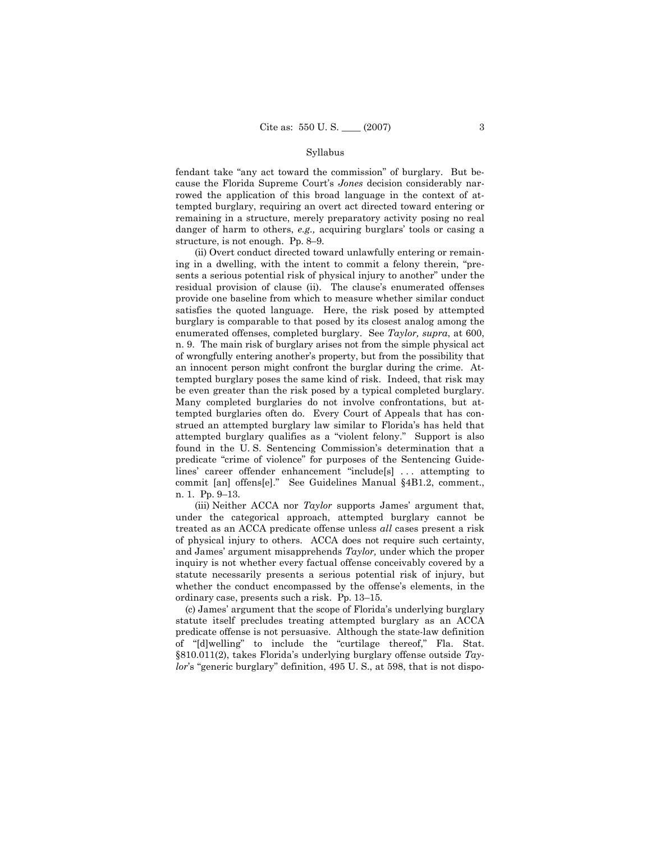fendant take "any act toward the commission" of burglary. But because the Florida Supreme Court's *Jones* decision considerably narrowed the application of this broad language in the context of attempted burglary, requiring an overt act directed toward entering or remaining in a structure, merely preparatory activity posing no real danger of harm to others, *e.g.*, acquiring burglars' tools or casing a structure, is not enough. Pp. 8 $-9$ .

 (ii) Overt conduct directed toward unlawfully entering or remaining in a dwelling, with the intent to commit a felony therein, "presents a serious potential risk of physical injury to another" under the residual provision of clause (ii). The clause's enumerated offenses provide one baseline from which to measure whether similar conduct satisfies the quoted language. Here, the risk posed by attempted burglary is comparable to that posed by its closest analog among the enumerated offenses, completed burglary. See *Taylor, supra*, at 600, n. 9. The main risk of burglary arises not from the simple physical act of wrongfully entering anotherís property, but from the possibility that an innocent person might confront the burglar during the crime. Attempted burglary poses the same kind of risk. Indeed, that risk may be even greater than the risk posed by a typical completed burglary. Many completed burglaries do not involve confrontations, but attempted burglaries often do. Every Court of Appeals that has construed an attempted burglary law similar to Floridaís has held that attempted burglary qualifies as a "violent felony." Support is also found in the U.S. Sentencing Commission's determination that a predicate "crime of violence" for purposes of the Sentencing Guidelines' career offender enhancement "include[s] ... attempting to commit [an] offens[e]." See Guidelines Manual §4B1.2, comment., n. 1. Pp. 9-13.

 (iii) Neither ACCA nor *Taylor* supports Jamesí argument that, under the categorical approach, attempted burglary cannot be treated as an ACCA predicate offense unless *all* cases present a risk of physical injury to others. ACCA does not require such certainty, and Jamesí argument misapprehends *Taylor,* under which the proper inquiry is not whether every factual offense conceivably covered by a statute necessarily presents a serious potential risk of injury, but whether the conduct encompassed by the offense's elements, in the ordinary case, presents such a risk. Pp.  $13-15$ .

 (c) Jamesí argument that the scope of Floridaís underlying burglary statute itself precludes treating attempted burglary as an ACCA predicate offense is not persuasive. Although the state-law definition of "[d]welling" to include the "curtilage thereof," Fla. Stat. ß810.011(2), takes Floridaís underlying burglary offense outside *Taylor's* "generic burglary" definition, 495 U. S., at 598, that is not dispo-